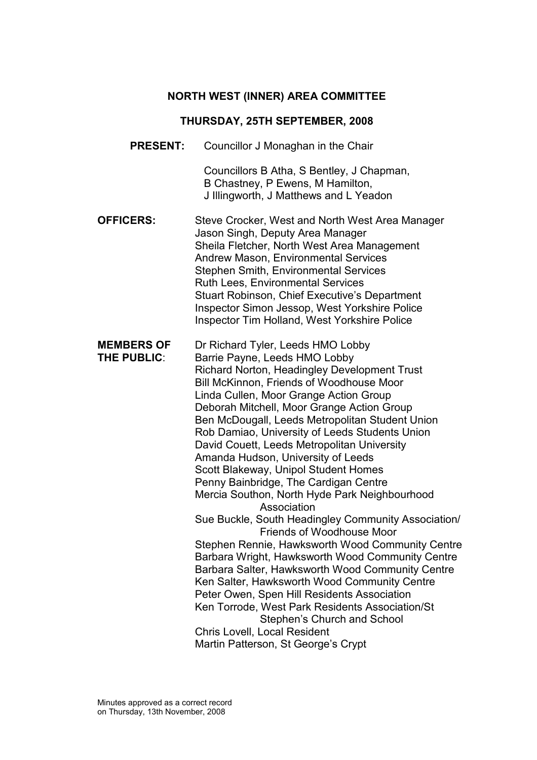# NORTH WEST (INNER) AREA COMMITTEE

# THURSDAY, 25TH SEPTEMBER, 2008

| <b>PRESENT:</b>                         | Councillor J Monaghan in the Chair                                                                                                                                                                                                                                                                                                                                                                                                                                                                                                                                                                                                                                                                                                                                                                                                                                                                                                                                                                                                                                                                               |
|-----------------------------------------|------------------------------------------------------------------------------------------------------------------------------------------------------------------------------------------------------------------------------------------------------------------------------------------------------------------------------------------------------------------------------------------------------------------------------------------------------------------------------------------------------------------------------------------------------------------------------------------------------------------------------------------------------------------------------------------------------------------------------------------------------------------------------------------------------------------------------------------------------------------------------------------------------------------------------------------------------------------------------------------------------------------------------------------------------------------------------------------------------------------|
|                                         | Councillors B Atha, S Bentley, J Chapman,<br>B Chastney, P Ewens, M Hamilton,<br>J Illingworth, J Matthews and L Yeadon                                                                                                                                                                                                                                                                                                                                                                                                                                                                                                                                                                                                                                                                                                                                                                                                                                                                                                                                                                                          |
| <b>OFFICERS:</b>                        | Steve Crocker, West and North West Area Manager<br>Jason Singh, Deputy Area Manager<br>Sheila Fletcher, North West Area Management<br><b>Andrew Mason, Environmental Services</b><br><b>Stephen Smith, Environmental Services</b><br><b>Ruth Lees, Environmental Services</b><br>Stuart Robinson, Chief Executive's Department<br>Inspector Simon Jessop, West Yorkshire Police<br>Inspector Tim Holland, West Yorkshire Police                                                                                                                                                                                                                                                                                                                                                                                                                                                                                                                                                                                                                                                                                  |
| <b>MEMBERS OF</b><br><b>THE PUBLIC:</b> | Dr Richard Tyler, Leeds HMO Lobby<br>Barrie Payne, Leeds HMO Lobby<br>Richard Norton, Headingley Development Trust<br>Bill McKinnon, Friends of Woodhouse Moor<br>Linda Cullen, Moor Grange Action Group<br>Deborah Mitchell, Moor Grange Action Group<br>Ben McDougall, Leeds Metropolitan Student Union<br>Rob Damiao, University of Leeds Students Union<br>David Couett, Leeds Metropolitan University<br>Amanda Hudson, University of Leeds<br>Scott Blakeway, Unipol Student Homes<br>Penny Bainbridge, The Cardigan Centre<br>Mercia Southon, North Hyde Park Neighbourhood<br>Association<br>Sue Buckle, South Headingley Community Association/<br><b>Friends of Woodhouse Moor</b><br>Stephen Rennie, Hawksworth Wood Community Centre<br>Barbara Wright, Hawksworth Wood Community Centre<br>Barbara Salter, Hawksworth Wood Community Centre<br>Ken Salter, Hawksworth Wood Community Centre<br>Peter Owen, Spen Hill Residents Association<br>Ken Torrode, West Park Residents Association/St<br>Stephen's Church and School<br>Chris Lovell, Local Resident<br>Martin Patterson, St George's Crypt |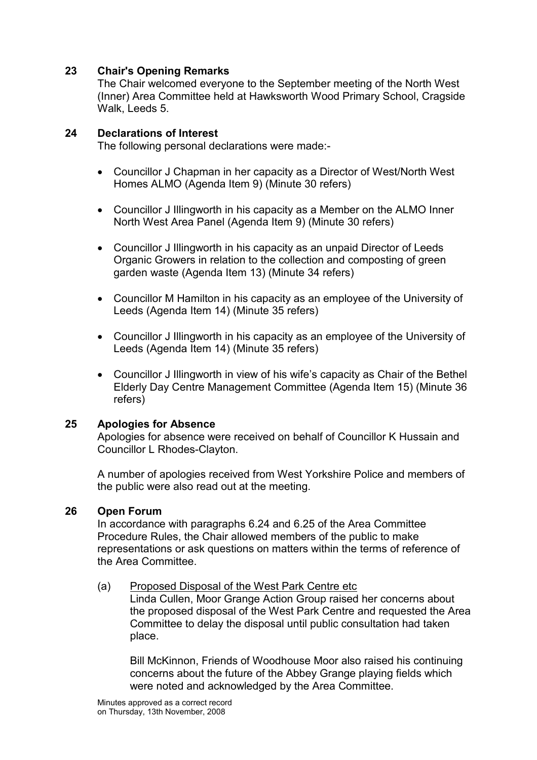#### 23 Chair's Opening Remarks

The Chair welcomed everyone to the September meeting of the North West (Inner) Area Committee held at Hawksworth Wood Primary School, Cragside Walk, Leeds 5.

#### 24 Declarations of Interest

The following personal declarations were made:-

- Councillor J Chapman in her capacity as a Director of West/North West Homes ALMO (Agenda Item 9) (Minute 30 refers)
- Councillor J Illingworth in his capacity as a Member on the ALMO Inner North West Area Panel (Agenda Item 9) (Minute 30 refers)
- Councillor J Illingworth in his capacity as an unpaid Director of Leeds Organic Growers in relation to the collection and composting of green garden waste (Agenda Item 13) (Minute 34 refers)
- Councillor M Hamilton in his capacity as an employee of the University of Leeds (Agenda Item 14) (Minute 35 refers)
- Councillor J Illingworth in his capacity as an employee of the University of Leeds (Agenda Item 14) (Minute 35 refers)
- Councillor J Illingworth in view of his wife's capacity as Chair of the Bethel Elderly Day Centre Management Committee (Agenda Item 15) (Minute 36 refers)

#### 25 Apologies for Absence

Apologies for absence were received on behalf of Councillor K Hussain and Councillor L Rhodes-Clayton.

A number of apologies received from West Yorkshire Police and members of the public were also read out at the meeting.

#### 26 Open Forum

In accordance with paragraphs 6.24 and 6.25 of the Area Committee Procedure Rules, the Chair allowed members of the public to make representations or ask questions on matters within the terms of reference of the Area Committee.

#### (a) Proposed Disposal of the West Park Centre etc

 Linda Cullen, Moor Grange Action Group raised her concerns about the proposed disposal of the West Park Centre and requested the Area Committee to delay the disposal until public consultation had taken place.

 Bill McKinnon, Friends of Woodhouse Moor also raised his continuing concerns about the future of the Abbey Grange playing fields which were noted and acknowledged by the Area Committee.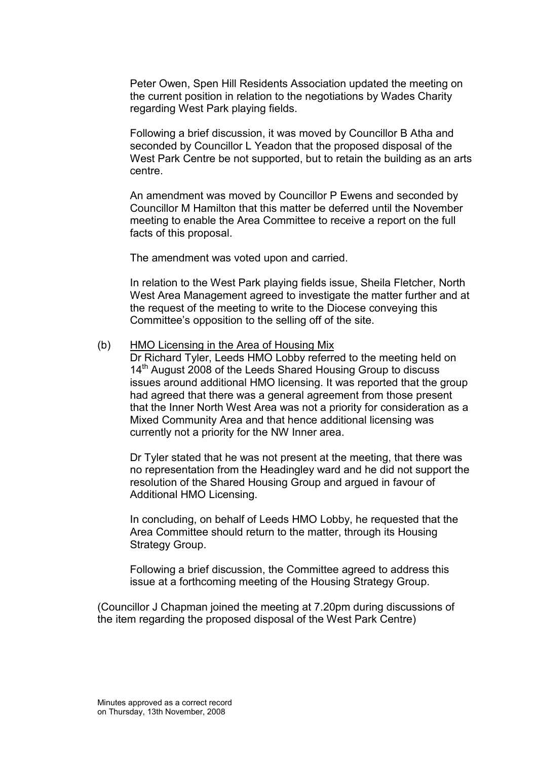Peter Owen, Spen Hill Residents Association updated the meeting on the current position in relation to the negotiations by Wades Charity regarding West Park playing fields.

 Following a brief discussion, it was moved by Councillor B Atha and seconded by Councillor L Yeadon that the proposed disposal of the West Park Centre be not supported, but to retain the building as an arts centre.

 An amendment was moved by Councillor P Ewens and seconded by Councillor M Hamilton that this matter be deferred until the November meeting to enable the Area Committee to receive a report on the full facts of this proposal.

The amendment was voted upon and carried.

 In relation to the West Park playing fields issue, Sheila Fletcher, North West Area Management agreed to investigate the matter further and at the request of the meeting to write to the Diocese conveying this Committee's opposition to the selling off of the site.

#### (b) HMO Licensing in the Area of Housing Mix

 Dr Richard Tyler, Leeds HMO Lobby referred to the meeting held on 14<sup>th</sup> August 2008 of the Leeds Shared Housing Group to discuss issues around additional HMO licensing. It was reported that the group had agreed that there was a general agreement from those present that the Inner North West Area was not a priority for consideration as a Mixed Community Area and that hence additional licensing was currently not a priority for the NW Inner area.

 Dr Tyler stated that he was not present at the meeting, that there was no representation from the Headingley ward and he did not support the resolution of the Shared Housing Group and argued in favour of Additional HMO Licensing.

 In concluding, on behalf of Leeds HMO Lobby, he requested that the Area Committee should return to the matter, through its Housing Strategy Group.

Following a brief discussion, the Committee agreed to address this issue at a forthcoming meeting of the Housing Strategy Group.

(Councillor J Chapman joined the meeting at 7.20pm during discussions of the item regarding the proposed disposal of the West Park Centre)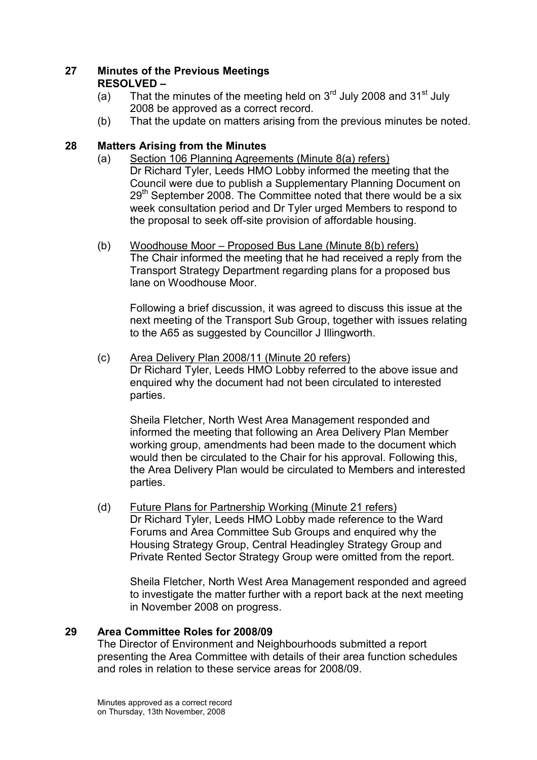## 27 Minutes of the Previous Meetings RESOLVED –

- (a) That the minutes of the meeting held on  $3<sup>rd</sup>$  July 2008 and  $31<sup>st</sup>$  July 2008 be approved as a correct record.
- (b) That the update on matters arising from the previous minutes be noted.

## 28 Matters Arising from the Minutes

- (a) Section 106 Planning Agreements (Minute 8(a) refers) Dr Richard Tyler, Leeds HMO Lobby informed the meeting that the Council were due to publish a Supplementary Planning Document on 29<sup>th</sup> September 2008. The Committee noted that there would be a six week consultation period and Dr Tyler urged Members to respond to the proposal to seek off-site provision of affordable housing.
- (b) Woodhouse Moor Proposed Bus Lane (Minute 8(b) refers) The Chair informed the meeting that he had received a reply from the Transport Strategy Department regarding plans for a proposed bus lane on Woodhouse Moor.

 Following a brief discussion, it was agreed to discuss this issue at the next meeting of the Transport Sub Group, together with issues relating to the A65 as suggested by Councillor J Illingworth.

(c) Area Delivery Plan 2008/11 (Minute 20 refers) Dr Richard Tyler, Leeds HMO Lobby referred to the above issue and enquired why the document had not been circulated to interested parties.

 Sheila Fletcher, North West Area Management responded and informed the meeting that following an Area Delivery Plan Member working group, amendments had been made to the document which would then be circulated to the Chair for his approval. Following this, the Area Delivery Plan would be circulated to Members and interested parties.

(d) Future Plans for Partnership Working (Minute 21 refers) Dr Richard Tyler, Leeds HMO Lobby made reference to the Ward Forums and Area Committee Sub Groups and enquired why the Housing Strategy Group, Central Headingley Strategy Group and Private Rented Sector Strategy Group were omitted from the report.

 Sheila Fletcher, North West Area Management responded and agreed to investigate the matter further with a report back at the next meeting in November 2008 on progress.

## 29 Area Committee Roles for 2008/09

The Director of Environment and Neighbourhoods submitted a report presenting the Area Committee with details of their area function schedules and roles in relation to these service areas for 2008/09.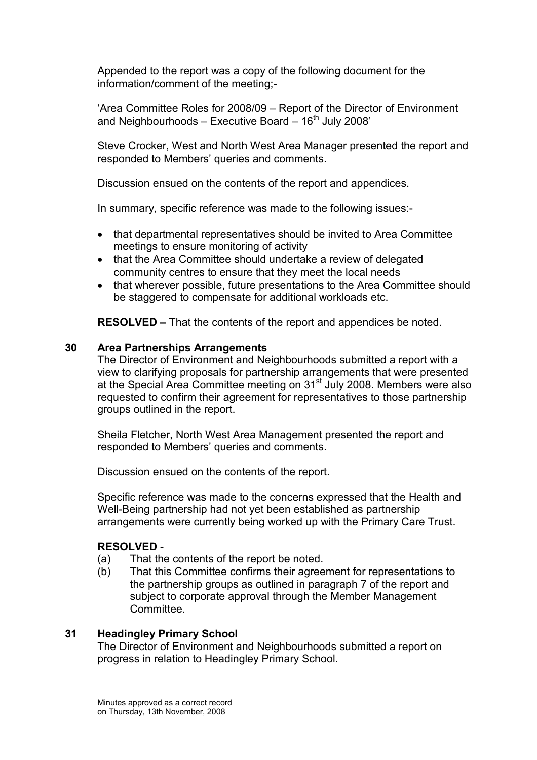Appended to the report was a copy of the following document for the information/comment of the meeting;-

'Area Committee Roles for 2008/09 – Report of the Director of Environment and Neighbourhoods – Executive Board –  $16<sup>th</sup>$  July 2008'

Steve Crocker, West and North West Area Manager presented the report and responded to Members' queries and comments.

Discussion ensued on the contents of the report and appendices.

In summary, specific reference was made to the following issues:-

- that departmental representatives should be invited to Area Committee meetings to ensure monitoring of activity
- that the Area Committee should undertake a review of delegated community centres to ensure that they meet the local needs
- that wherever possible, future presentations to the Area Committee should be staggered to compensate for additional workloads etc.

RESOLVED – That the contents of the report and appendices be noted.

#### 30 Area Partnerships Arrangements

The Director of Environment and Neighbourhoods submitted a report with a view to clarifying proposals for partnership arrangements that were presented at the Special Area Committee meeting on 31<sup>st</sup> July 2008. Members were also requested to confirm their agreement for representatives to those partnership groups outlined in the report.

Sheila Fletcher, North West Area Management presented the report and responded to Members' queries and comments.

Discussion ensued on the contents of the report.

Specific reference was made to the concerns expressed that the Health and Well-Being partnership had not yet been established as partnership arrangements were currently being worked up with the Primary Care Trust.

#### RESOLVED -

- (a) That the contents of the report be noted.
- (b) That this Committee confirms their agreement for representations to the partnership groups as outlined in paragraph 7 of the report and subject to corporate approval through the Member Management **Committee.**

#### 31 Headingley Primary School

The Director of Environment and Neighbourhoods submitted a report on progress in relation to Headingley Primary School.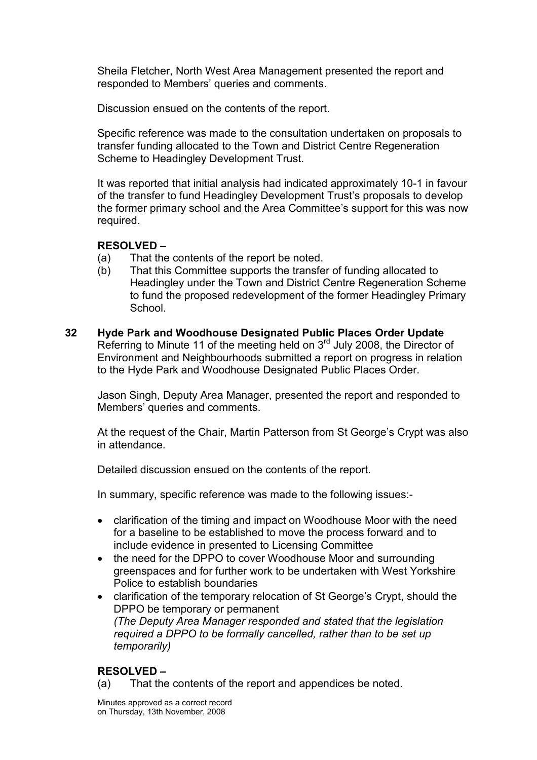Sheila Fletcher, North West Area Management presented the report and responded to Members' queries and comments.

Discussion ensued on the contents of the report.

Specific reference was made to the consultation undertaken on proposals to transfer funding allocated to the Town and District Centre Regeneration Scheme to Headingley Development Trust.

It was reported that initial analysis had indicated approximately 10-1 in favour of the transfer to fund Headingley Development Trust's proposals to develop the former primary school and the Area Committee's support for this was now required.

#### RESOLVED –

- (a) That the contents of the report be noted.
- (b) That this Committee supports the transfer of funding allocated to Headingley under the Town and District Centre Regeneration Scheme to fund the proposed redevelopment of the former Headingley Primary School.
- 32 Hyde Park and Woodhouse Designated Public Places Order Update Referring to Minute 11 of the meeting held on 3<sup>rd</sup> July 2008, the Director of Environment and Neighbourhoods submitted a report on progress in relation to the Hyde Park and Woodhouse Designated Public Places Order.

Jason Singh, Deputy Area Manager, presented the report and responded to Members' queries and comments.

At the request of the Chair, Martin Patterson from St George's Crypt was also in attendance.

Detailed discussion ensued on the contents of the report.

In summary, specific reference was made to the following issues:-

- clarification of the timing and impact on Woodhouse Moor with the need for a baseline to be established to move the process forward and to include evidence in presented to Licensing Committee
- the need for the DPPO to cover Woodhouse Moor and surrounding greenspaces and for further work to be undertaken with West Yorkshire Police to establish boundaries
- clarification of the temporary relocation of St George's Crypt, should the DPPO be temporary or permanent (The Deputy Area Manager responded and stated that the legislation required a DPPO to be formally cancelled, rather than to be set up temporarily)

## RESOLVED –

(a) That the contents of the report and appendices be noted.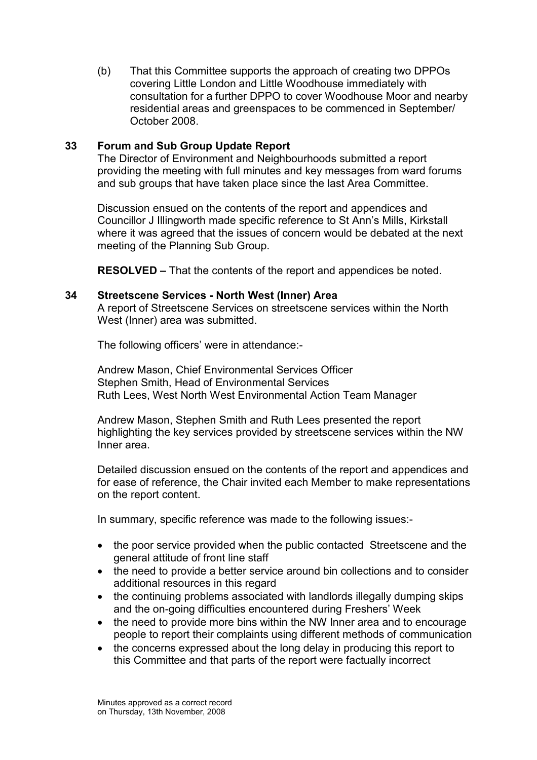(b) That this Committee supports the approach of creating two DPPOs covering Little London and Little Woodhouse immediately with consultation for a further DPPO to cover Woodhouse Moor and nearby residential areas and greenspaces to be commenced in September/ October 2008.

#### 33 Forum and Sub Group Update Report

The Director of Environment and Neighbourhoods submitted a report providing the meeting with full minutes and key messages from ward forums and sub groups that have taken place since the last Area Committee.

Discussion ensued on the contents of the report and appendices and Councillor J Illingworth made specific reference to St Ann's Mills, Kirkstall where it was agreed that the issues of concern would be debated at the next meeting of the Planning Sub Group.

RESOLVED – That the contents of the report and appendices be noted.

#### 34 Streetscene Services - North West (Inner) Area

A report of Streetscene Services on streetscene services within the North West (Inner) area was submitted.

The following officers' were in attendance:-

Andrew Mason, Chief Environmental Services Officer Stephen Smith, Head of Environmental Services Ruth Lees, West North West Environmental Action Team Manager

Andrew Mason, Stephen Smith and Ruth Lees presented the report highlighting the key services provided by streetscene services within the NW Inner area.

Detailed discussion ensued on the contents of the report and appendices and for ease of reference, the Chair invited each Member to make representations on the report content.

In summary, specific reference was made to the following issues:-

- the poor service provided when the public contacted Streetscene and the general attitude of front line staff
- the need to provide a better service around bin collections and to consider additional resources in this regard
- the continuing problems associated with landlords illegally dumping skips and the on-going difficulties encountered during Freshers' Week
- the need to provide more bins within the NW Inner area and to encourage people to report their complaints using different methods of communication
- the concerns expressed about the long delay in producing this report to this Committee and that parts of the report were factually incorrect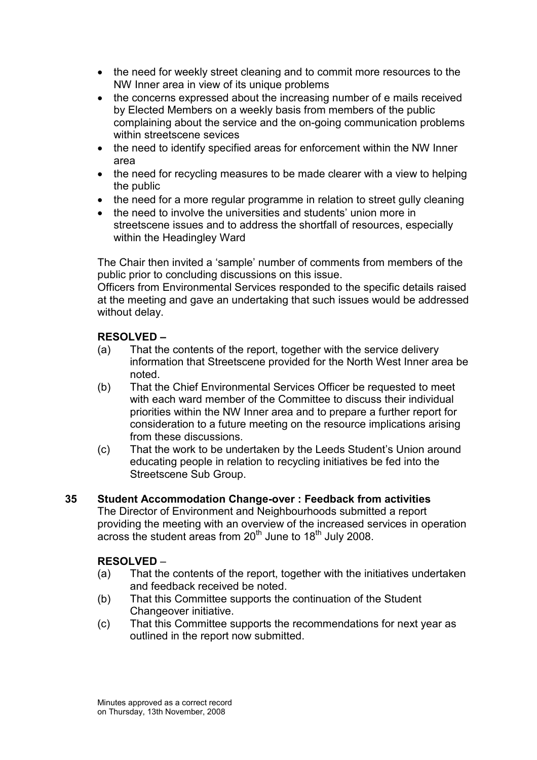- the need for weekly street cleaning and to commit more resources to the NW Inner area in view of its unique problems
- the concerns expressed about the increasing number of e mails received by Elected Members on a weekly basis from members of the public complaining about the service and the on-going communication problems within streetscene sevices
- the need to identify specified areas for enforcement within the NW Inner area
- the need for recycling measures to be made clearer with a view to helping the public
- the need for a more regular programme in relation to street gully cleaning
- the need to involve the universities and students' union more in streetscene issues and to address the shortfall of resources, especially within the Headingley Ward

The Chair then invited a 'sample' number of comments from members of the public prior to concluding discussions on this issue.

Officers from Environmental Services responded to the specific details raised at the meeting and gave an undertaking that such issues would be addressed without delay.

## RESOLVED –

- (a) That the contents of the report, together with the service delivery information that Streetscene provided for the North West Inner area be noted.
- (b) That the Chief Environmental Services Officer be requested to meet with each ward member of the Committee to discuss their individual priorities within the NW Inner area and to prepare a further report for consideration to a future meeting on the resource implications arising from these discussions.
- (c) That the work to be undertaken by the Leeds Student's Union around educating people in relation to recycling initiatives be fed into the Streetscene Sub Group.

#### 35 Student Accommodation Change-over : Feedback from activities

The Director of Environment and Neighbourhoods submitted a report providing the meeting with an overview of the increased services in operation across the student areas from 20<sup>th</sup> June to 18<sup>th</sup> July 2008.

## RESOLVED –

- (a) That the contents of the report, together with the initiatives undertaken and feedback received be noted.
- (b) That this Committee supports the continuation of the Student Changeover initiative.
- (c) That this Committee supports the recommendations for next year as outlined in the report now submitted.